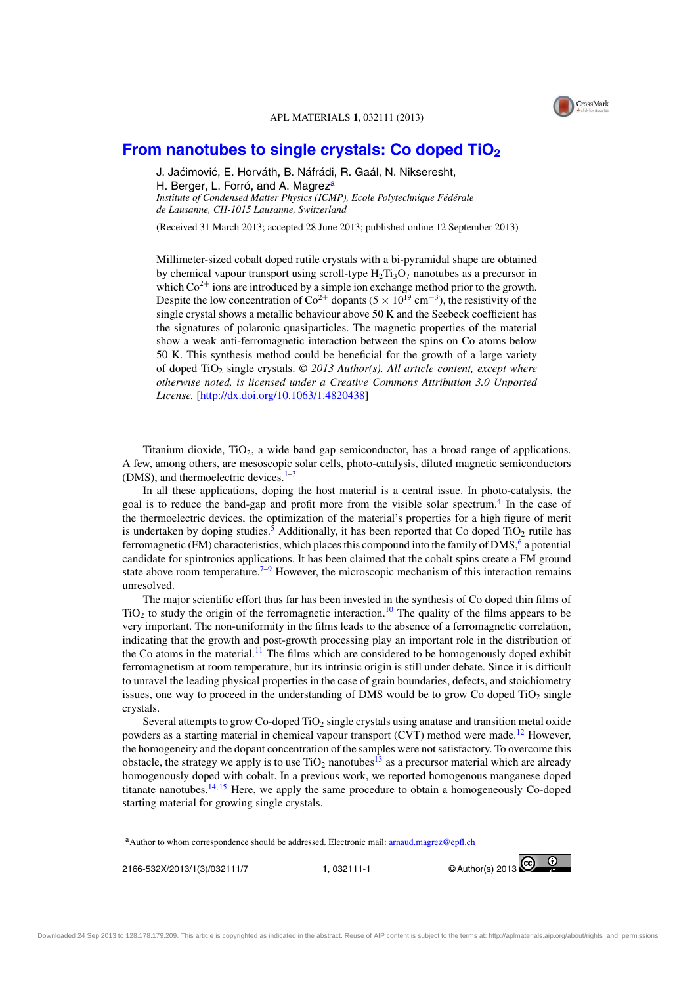

## **From nanotubes to single crystals: Co doped TiO<sup>2</sup>**

J. Jaćimović, E. Horváth, B. Náfrádi, R. Gaál, N. Nikseresht, H. Berger, L. Forró, and A. Magrez<sup>a</sup> *Institute of Condensed Matter Physics (ICMP), Ecole Polytechnique Fédérale de Lausanne, CH-1015 Lausanne, Switzerland*

(Received 31 March 2013; accepted 28 June 2013; published online 12 September 2013)

Millimeter-sized cobalt doped rutile crystals with a bi-pyramidal shape are obtained by chemical vapour transport using scroll-type  $H_2Ti_3O_7$  nanotubes as a precursor in which  $Co^{2+}$  ions are introduced by a simple ion exchange method prior to the growth. Despite the low concentration of  $\text{Co}^{2+}$  dopants (5 × 10<sup>19</sup> cm<sup>-3</sup>), the resistivity of the single crystal shows a metallic behaviour above 50 K and the Seebeck coefficient has the signatures of polaronic quasiparticles. The magnetic properties of the material show a weak anti-ferromagnetic interaction between the spins on Co atoms below 50 K. This synthesis method could be beneficial for the growth of a large variety of doped TiO<sup>2</sup> single crystals. *© 2013 Author(s). All article content, except where otherwise noted, is licensed under a Creative Commons Attribution 3.0 Unported License.* [http://dx.doi.org/10.1063/1.4820438]

Titanium dioxide,  $TiO<sub>2</sub>$ , a wide band gap semiconductor, has a broad range of applications. A few, among others, are mesoscopic solar cells, photo-catalysis, diluted magnetic semiconductors (DMS), and thermoelectric devices.<sup>1-3</sup>

In all these applications, doping the host material is a central issue. In photo-catalysis, the goal is to reduce the band-gap and profit more from the visible solar spectrum.<sup>4</sup> In the case of the thermoelectric devices, the optimization of the material's properties for a high figure of merit is undertaken by doping studies.<sup>5</sup> Additionally, it has been reported that Co doped TiO<sub>2</sub> rutile has ferromagnetic (FM) characteristics, which places this compound into the family of DMS,  $6$  a potential candidate for spintronics applications. It has been claimed that the cobalt spins create a FM ground state above room temperature.<sup>7–9</sup> However, the microscopic mechanism of this interaction remains unresolved.

The major scientific effort thus far has been invested in the synthesis of Co doped thin films of  $TiO<sub>2</sub>$  to study the origin of the ferromagnetic interaction.<sup>10</sup> The quality of the films appears to be very important. The non-uniformity in the films leads to the absence of a ferromagnetic correlation, indicating that the growth and post-growth processing play an important role in the distribution of the Co atoms in the material.<sup>11</sup> The films which are considered to be homogenously doped exhibit ferromagnetism at room temperature, but its intrinsic origin is still under debate. Since it is difficult to unravel the leading physical properties in the case of grain boundaries, defects, and stoichiometry issues, one way to proceed in the understanding of DMS would be to grow Co doped  $TiO<sub>2</sub>$  single crystals.

Several attempts to grow Co-doped TiO<sub>2</sub> single crystals using anatase and transition metal oxide powders as a starting material in chemical vapour transport (CVT) method were made.<sup>12</sup> However, the homogeneity and the dopant concentration of the samples were not satisfactory. To overcome this obstacle, the strategy we apply is to use  $TiO<sub>2</sub>$  nanotubes<sup>13</sup> as a precursor material which are already homogenously doped with cobalt. In a previous work, we reported homogenous manganese doped titanate nanotubes.<sup>14, 15</sup> Here, we apply the same procedure to obtain a homogeneously Co-doped starting material for growing single crystals.



<sup>&</sup>lt;sup>a</sup>Author to whom correspondence should be addressed. Electronic mail: arnaud.magrez@epfl.ch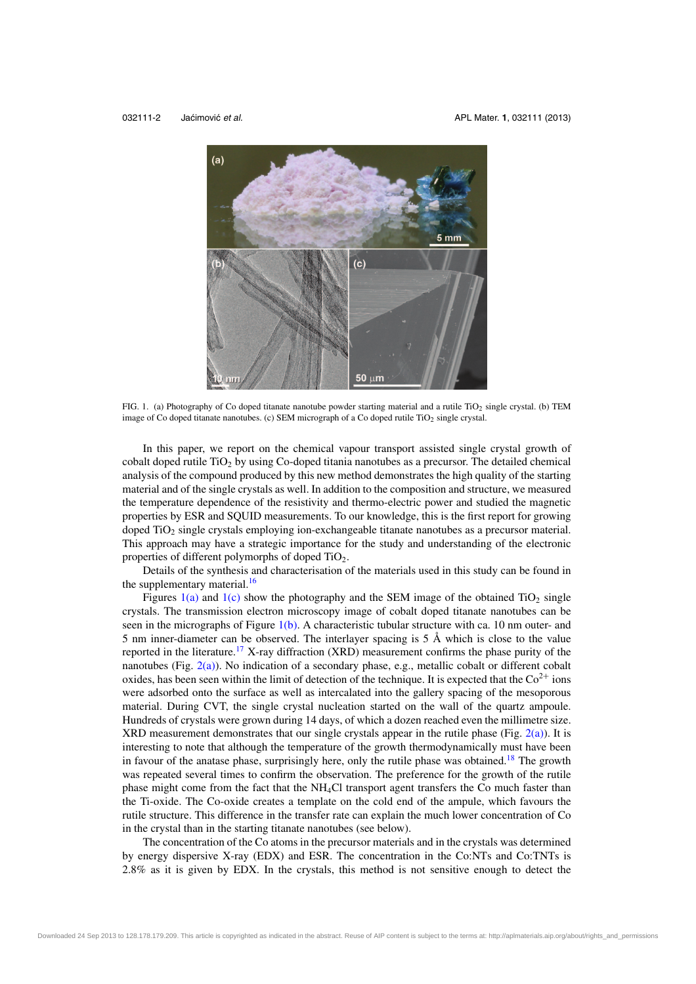

FIG. 1. (a) Photography of Co doped titanate nanotube powder starting material and a rutile TiO<sub>2</sub> single crystal. (b) TEM image of Co doped titanate nanotubes. (c) SEM micrograph of a Co doped rutile TiO<sub>2</sub> single crystal.

In this paper, we report on the chemical vapour transport assisted single crystal growth of cobalt doped rutile  $TiO<sub>2</sub>$  by using Co-doped titania nanotubes as a precursor. The detailed chemical analysis of the compound produced by this new method demonstrates the high quality of the starting material and of the single crystals as well. In addition to the composition and structure, we measured the temperature dependence of the resistivity and thermo-electric power and studied the magnetic properties by ESR and SQUID measurements. To our knowledge, this is the first report for growing doped TiO<sup>2</sup> single crystals employing ion-exchangeable titanate nanotubes as a precursor material. This approach may have a strategic importance for the study and understanding of the electronic properties of different polymorphs of doped  $TiO<sub>2</sub>$ .

Details of the synthesis and characterisation of the materials used in this study can be found in the supplementary material.<sup>16</sup>

Figures  $1(a)$  and  $1(c)$  show the photography and the SEM image of the obtained TiO<sub>2</sub> single crystals. The transmission electron microscopy image of cobalt doped titanate nanotubes can be seen in the micrographs of Figure 1(b). A characteristic tubular structure with ca. 10 nm outer- and 5 nm inner-diameter can be observed. The interlayer spacing is 5 Å which is close to the value reported in the literature.<sup>17</sup> X-ray diffraction (XRD) measurement confirms the phase purity of the nanotubes (Fig.  $2(a)$ ). No indication of a secondary phase, e.g., metallic cobalt or different cobalt oxides, has been seen within the limit of detection of the technique. It is expected that the  $Co^{2+}$  ions were adsorbed onto the surface as well as intercalated into the gallery spacing of the mesoporous material. During CVT, the single crystal nucleation started on the wall of the quartz ampoule. Hundreds of crystals were grown during 14 days, of which a dozen reached even the millimetre size. XRD measurement demonstrates that our single crystals appear in the rutile phase (Fig.  $2(a)$ ). It is interesting to note that although the temperature of the growth thermodynamically must have been in favour of the anatase phase, surprisingly here, only the rutile phase was obtained.<sup>18</sup> The growth was repeated several times to confirm the observation. The preference for the growth of the rutile phase might come from the fact that the NH4Cl transport agent transfers the Co much faster than the Ti-oxide. The Co-oxide creates a template on the cold end of the ampule, which favours the rutile structure. This difference in the transfer rate can explain the much lower concentration of Co in the crystal than in the starting titanate nanotubes (see below).

The concentration of the Co atoms in the precursor materials and in the crystals was determined by energy dispersive X-ray (EDX) and ESR. The concentration in the Co:NTs and Co:TNTs is 2.8% as it is given by EDX. In the crystals, this method is not sensitive enough to detect the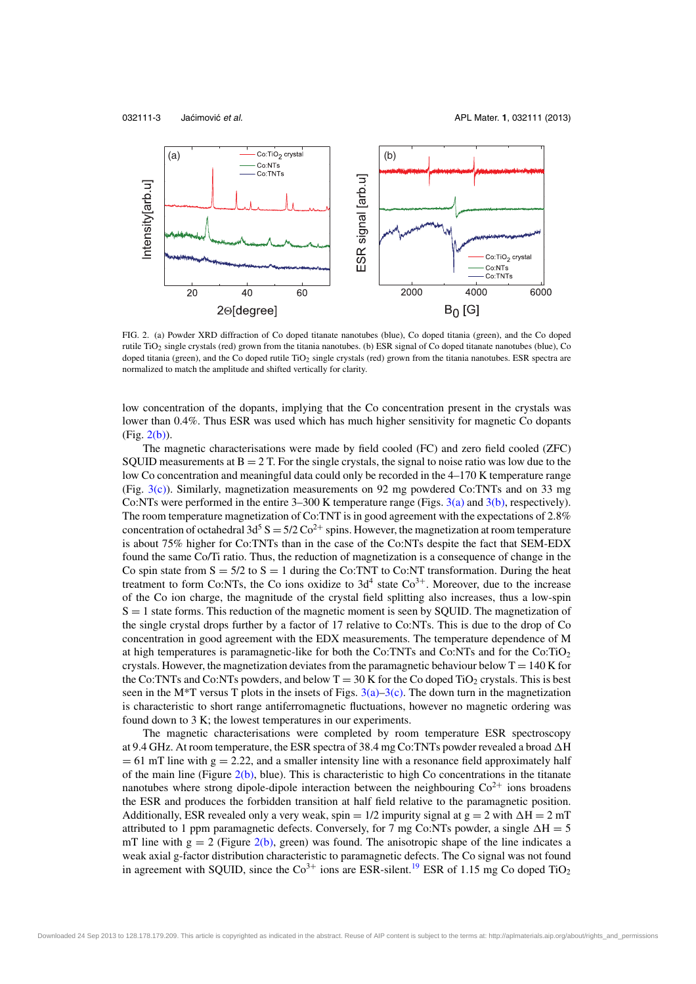

FIG. 2. (a) Powder XRD diffraction of Co doped titanate nanotubes (blue), Co doped titania (green), and the Co doped rutile TiO<sup>2</sup> single crystals (red) grown from the titania nanotubes. (b) ESR signal of Co doped titanate nanotubes (blue), Co doped titania (green), and the Co doped rutile TiO<sub>2</sub> single crystals (red) grown from the titania nanotubes. ESR spectra are normalized to match the amplitude and shifted vertically for clarity.

low concentration of the dopants, implying that the Co concentration present in the crystals was lower than 0.4%. Thus ESR was used which has much higher sensitivity for magnetic Co dopants (Fig. 2(b)).

The magnetic characterisations were made by field cooled (FC) and zero field cooled (ZFC) SQUID measurements at  $B = 2T$ . For the single crystals, the signal to noise ratio was low due to the low Co concentration and meaningful data could only be recorded in the 4–170 K temperature range (Fig. 3(c)). Similarly, magnetization measurements on 92 mg powdered Co:TNTs and on 33 mg Co:NTs were performed in the entire 3–300 K temperature range (Figs. 3(a) and 3(b), respectively). The room temperature magnetization of Co:TNT is in good agreement with the expectations of 2.8% concentration of octahedral 3d<sup>5</sup> S =  $5/2$  Co<sup>2+</sup> spins. However, the magnetization at room temperature is about 75% higher for Co:TNTs than in the case of the Co:NTs despite the fact that SEM-EDX found the same Co/Ti ratio. Thus, the reduction of magnetization is a consequence of change in the Co spin state from  $S = 5/2$  to  $S = 1$  during the Co:TNT to Co:NT transformation. During the heat treatment to form Co:NTs, the Co ions oxidize to  $3d<sup>4</sup>$  state Co<sup>3+</sup>. Moreover, due to the increase of the Co ion charge, the magnitude of the crystal field splitting also increases, thus a low-spin  $S = 1$  state forms. This reduction of the magnetic moment is seen by SOUID. The magnetization of the single crystal drops further by a factor of 17 relative to Co:NTs. This is due to the drop of Co concentration in good agreement with the EDX measurements. The temperature dependence of M at high temperatures is paramagnetic-like for both the  $Co:INTs$  and  $Co:NTs$  and for the  $Co:TiO<sub>2</sub>$ crystals. However, the magnetization deviates from the paramagnetic behaviour below  $T = 140$  K for the Co:TNTs and Co:NTs powders, and below  $T = 30$  K for the Co doped TiO<sub>2</sub> crystals. This is best seen in the M<sup>\*</sup>T versus T plots in the insets of Figs.  $3(a)-3(c)$ . The down turn in the magnetization is characteristic to short range antiferromagnetic fluctuations, however no magnetic ordering was found down to 3 K; the lowest temperatures in our experiments.

The magnetic characterisations were completed by room temperature ESR spectroscopy at 9.4 GHz. At room temperature, the ESR spectra of 38.4 mg Co:TNTs powder revealed a broad  $\Delta H$  $= 61$  mT line with  $g = 2.22$ , and a smaller intensity line with a resonance field approximately half of the main line (Figure  $2(b)$ , blue). This is characteristic to high Co concentrations in the titanate nanotubes where strong dipole-dipole interaction between the neighbouring  $Co<sup>2+</sup>$  ions broadens the ESR and produces the forbidden transition at half field relative to the paramagnetic position. Additionally, ESR revealed only a very weak, spin =  $1/2$  impurity signal at  $g = 2$  with  $\Delta H = 2$  mT attributed to 1 ppm paramagnetic defects. Conversely, for 7 mg Co:NTs powder, a single  $\Delta H = 5$ mT line with  $g = 2$  (Figure 2(b), green) was found. The anisotropic shape of the line indicates a weak axial g-factor distribution characteristic to paramagnetic defects. The Co signal was not found in agreement with SQUID, since the  $Co<sup>3+</sup>$  ions are ESR-silent.<sup>19</sup> ESR of 1.15 mg Co doped TiO<sub>2</sub>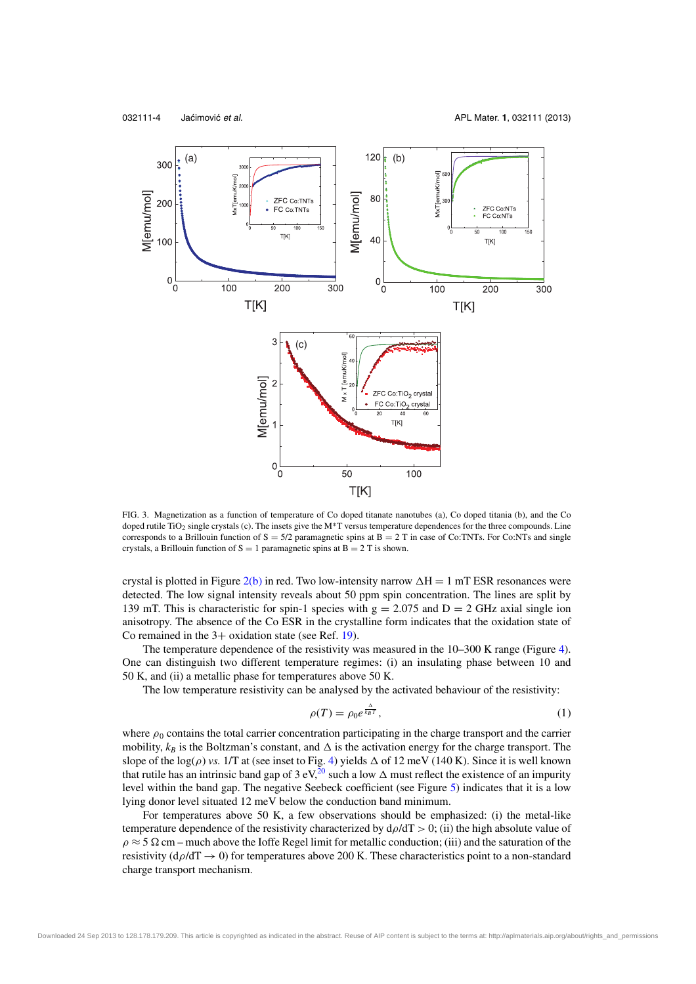

FIG. 3. Magnetization as a function of temperature of Co doped titanate nanotubes (a), Co doped titania (b), and the Co doped rutile TiO<sub>2</sub> single crystals (c). The insets give the M\*T versus temperature dependences for the three compounds. Line corresponds to a Brillouin function of  $S = 5/2$  paramagnetic spins at  $B = 2$  T in case of Co:TNTs. For Co:NTs and single crystals, a Brillouin function of  $S = 1$  paramagnetic spins at  $B = 2$  T is shown.

crystal is plotted in Figure  $2(b)$  in red. Two low-intensity narrow  $\Delta H = 1$  mT ESR resonances were detected. The low signal intensity reveals about 50 ppm spin concentration. The lines are split by 139 mT. This is characteristic for spin-1 species with  $g = 2.075$  and  $D = 2$  GHz axial single ion anisotropy. The absence of the Co ESR in the crystalline form indicates that the oxidation state of Co remained in the  $3+$  oxidation state (see Ref. 19).

The temperature dependence of the resistivity was measured in the 10–300 K range (Figure 4). One can distinguish two different temperature regimes: (i) an insulating phase between 10 and 50 K, and (ii) a metallic phase for temperatures above 50 K.

The low temperature resistivity can be analysed by the activated behaviour of the resistivity:

$$
\rho(T) = \rho_0 e^{\frac{\Delta}{k_B T}},\tag{1}
$$

where  $\rho_0$  contains the total carrier concentration participating in the charge transport and the carrier mobility,  $k_B$  is the Boltzman's constant, and  $\Delta$  is the activation energy for the charge transport. The slope of the  $log(\rho)$  *vs.* 1/T at (see inset to Fig. 4) yields  $\Delta$  of 12 meV (140 K). Since it is well known that rutile has an intrinsic band gap of 3 eV,<sup>20</sup> such a low  $\Delta$  must reflect the existence of an impurity level within the band gap. The negative Seebeck coefficient (see Figure 5) indicates that it is a low lying donor level situated 12 meV below the conduction band minimum.

For temperatures above 50 K, a few observations should be emphasized: (i) the metal-like temperature dependence of the resistivity characterized by  $d\rho/dT > 0$ ; (ii) the high absolute value of  $\rho \approx 5 \Omega \text{ cm}$  – much above the Ioffe Regel limit for metallic conduction; (iii) and the saturation of the resistivity ( $d\rho/dT \rightarrow 0$ ) for temperatures above 200 K. These characteristics point to a non-standard charge transport mechanism.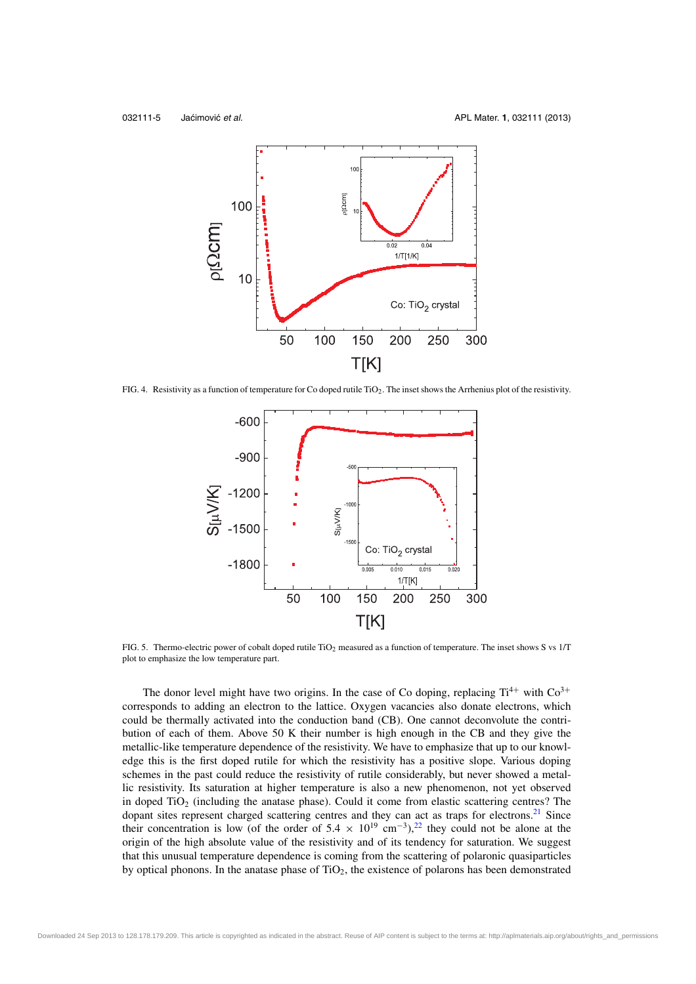

FIG. 4. Resistivity as a function of temperature for Co doped rutile TiO<sub>2</sub>. The inset shows the Arrhenius plot of the resistivity.



FIG. 5. Thermo-electric power of cobalt doped rutile TiO<sub>2</sub> measured as a function of temperature. The inset shows S vs 1/T plot to emphasize the low temperature part.

The donor level might have two origins. In the case of Co doping, replacing  $Ti^{4+}$  with  $Co^{3+}$ corresponds to adding an electron to the lattice. Oxygen vacancies also donate electrons, which could be thermally activated into the conduction band (CB). One cannot deconvolute the contribution of each of them. Above 50 K their number is high enough in the CB and they give the metallic-like temperature dependence of the resistivity. We have to emphasize that up to our knowledge this is the first doped rutile for which the resistivity has a positive slope. Various doping schemes in the past could reduce the resistivity of rutile considerably, but never showed a metallic resistivity. Its saturation at higher temperature is also a new phenomenon, not yet observed in doped TiO<sub>2</sub> (including the anatase phase). Could it come from elastic scattering centres? The dopant sites represent charged scattering centres and they can act as traps for electrons.<sup>21</sup> Since their concentration is low (of the order of 5.4  $\times$  10<sup>19</sup> cm<sup>-3</sup>),<sup>22</sup> they could not be alone at the origin of the high absolute value of the resistivity and of its tendency for saturation. We suggest that this unusual temperature dependence is coming from the scattering of polaronic quasiparticles by optical phonons. In the anatase phase of TiO2, the existence of polarons has been demonstrated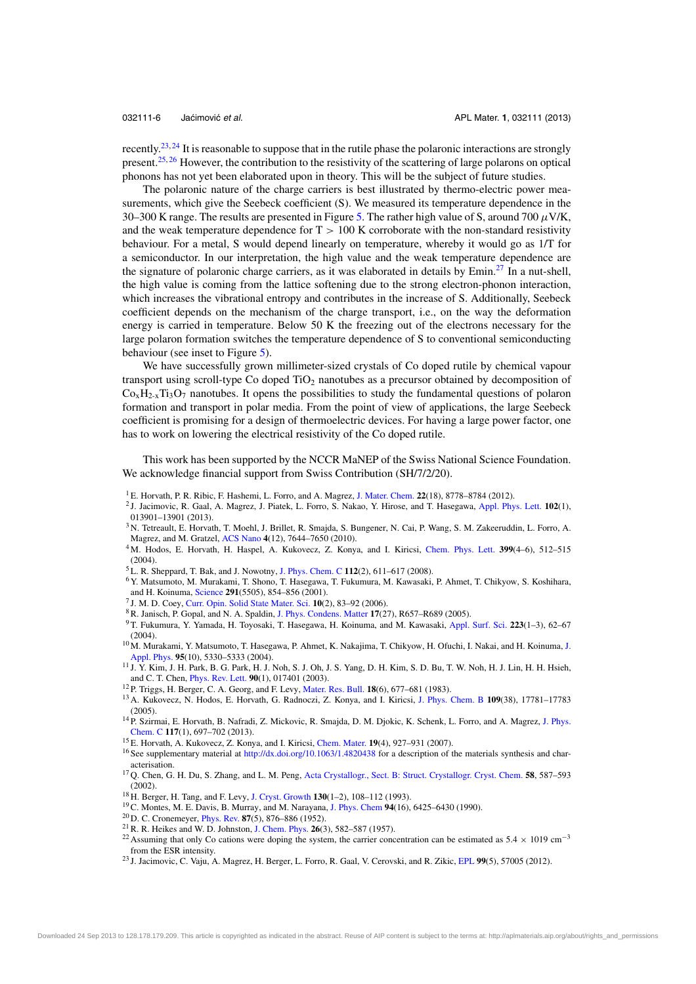recently.23, <sup>24</sup> It is reasonable to suppose that in the rutile phase the polaronic interactions are strongly present.<sup>25, 26</sup> However, the contribution to the resistivity of the scattering of large polarons on optical phonons has not yet been elaborated upon in theory. This will be the subject of future studies.

The polaronic nature of the charge carriers is best illustrated by thermo-electric power measurements, which give the Seebeck coefficient (S). We measured its temperature dependence in the 30–300 K range. The results are presented in Figure 5. The rather high value of S, around 700  $\mu$ V/K, and the weak temperature dependence for  $T > 100$  K corroborate with the non-standard resistivity behaviour. For a metal, S would depend linearly on temperature, whereby it would go as 1/T for a semiconductor. In our interpretation, the high value and the weak temperature dependence are the signature of polaronic charge carriers, as it was elaborated in details by Emin.<sup>27</sup> In a nut-shell, the high value is coming from the lattice softening due to the strong electron-phonon interaction, which increases the vibrational entropy and contributes in the increase of S. Additionally, Seebeck coefficient depends on the mechanism of the charge transport, i.e., on the way the deformation energy is carried in temperature. Below 50 K the freezing out of the electrons necessary for the large polaron formation switches the temperature dependence of S to conventional semiconducting behaviour (see inset to Figure 5).

We have successfully grown millimeter-sized crystals of Co doped rutile by chemical vapour transport using scroll-type Co doped  $TiO<sub>2</sub>$  nanotubes as a precursor obtained by decomposition of  $Co<sub>x</sub>H<sub>2-x</sub>Ti<sub>3</sub>O<sub>7</sub>$  nanotubes. It opens the possibilities to study the fundamental questions of polaron formation and transport in polar media. From the point of view of applications, the large Seebeck coefficient is promising for a design of thermoelectric devices. For having a large power factor, one has to work on lowering the electrical resistivity of the Co doped rutile.

This work has been supported by the NCCR MaNEP of the Swiss National Science Foundation. We acknowledge financial support from Swiss Contribution (SH/7/2/20).

- <sup>1</sup> E. Horvath, P. R. Ribic, F. Hashemi, L. Forro, and A. Magrez, J. Mater. Chem. **22**(18), 8778–8784 (2012).
- 2 J. Jacimovic, R. Gaal, A. Magrez, J. Piatek, L. Forro, S. Nakao, Y. Hirose, and T. Hasegawa, Appl. Phys. Lett. **102**(1), 013901–13901 (2013).
- <sup>3</sup> N. Tetreault, E. Horvath, T. Moehl, J. Brillet, R. Smajda, S. Bungener, N. Cai, P. Wang, S. M. Zakeeruddin, L. Forro, A. Magrez, and M. Gratzel, ACS Nano **4**(12), 7644–7650 (2010).
- <sup>4</sup> M. Hodos, E. Horvath, H. Haspel, A. Kukovecz, Z. Konya, and I. Kiricsi, Chem. Phys. Lett. **399**(4–6), 512–515 (2004).
- <sup>5</sup> L. R. Sheppard, T. Bak, and J. Nowotny, J. Phys. Chem. C **112**(2), 611–617 (2008).
- <sup>6</sup> Y. Matsumoto, M. Murakami, T. Shono, T. Hasegawa, T. Fukumura, M. Kawasaki, P. Ahmet, T. Chikyow, S. Koshihara, and H. Koinuma, Science **291**(5505), 854–856 (2001).
- 7 J. M. D. Coey, Curr. Opin. Solid State Mater. Sci. **10**(2), 83–92 (2006).
- <sup>8</sup>R. Janisch, P. Gopal, and N. A. Spaldin, J. Phys. Condens. Matter **17**(27), R657–R689 (2005).
- <sup>9</sup> T. Fukumura, Y. Yamada, H. Toyosaki, T. Hasegawa, H. Koinuma, and M. Kawasaki, Appl. Surf. Sci. **223**(1–3), 62–67 (2004).
- <sup>10</sup> M. Murakami, Y. Matsumoto, T. Hasegawa, P. Ahmet, K. Nakajima, T. Chikyow, H. Ofuchi, I. Nakai, and H. Koinuma, J. Appl. Phys. **95**(10), 5330–5333 (2004).
- <sup>11</sup> J. Y. Kim, J. H. Park, B. G. Park, H. J. Noh, S. J. Oh, J. S. Yang, D. H. Kim, S. D. Bu, T. W. Noh, H. J. Lin, H. H. Hsieh, and C. T. Chen, Phys. Rev. Lett. **90**(1), 017401 (2003).
- <sup>12</sup> P. Triggs, H. Berger, C. A. Georg, and F. Levy, Mater. Res. Bull. **18**(6), 677–681 (1983).
- <sup>13</sup> A. Kukovecz, N. Hodos, E. Horvath, G. Radnoczi, Z. Konya, and I. Kiricsi, J. Phys. Chem. B **109**(38), 17781–17783 (2005).
- <sup>14</sup> P. Szirmai, E. Horvath, B. Nafradi, Z. Mickovic, R. Smajda, D. M. Djokic, K. Schenk, L. Forro, and A. Magrez, J. Phys. Chem. C **117**(1), 697–702 (2013).
- <sup>15</sup> E. Horvath, A. Kukovecz, Z. Konya, and I. Kiricsi, Chem. Mater. **19**(4), 927–931 (2007).
- <sup>16</sup> See supplementary material at http://dx.doi.org/10.1063/1.4820438 for a description of the materials synthesis and characterisation.
- <sup>17</sup> Q. Chen, G. H. Du, S. Zhang, and L. M. Peng, Acta Crystallogr., Sect. B: Struct. Crystallogr. Cryst. Chem. **58**, 587–593 (2002).
- <sup>18</sup> H. Berger, H. Tang, and F. Levy, J. Cryst. Growth **130**(1–2), 108–112 (1993).
- <sup>19</sup>C. Montes, M. E. Davis, B. Murray, and M. Narayana, J. Phys. Chem **94**(16), 6425–6430 (1990).
- <sup>20</sup> D. C. Cronemeyer, Phys. Rev. **87**(5), 876–886 (1952).
- <sup>21</sup>R. R. Heikes and W. D. Johnston, J. Chem. Phys. **26**(3), 582–587 (1957).
- <sup>22</sup> Assuming that only Co cations were doping the system, the carrier concentration can be estimated as  $5.4 \times 1019$  cm<sup>-3</sup> from the ESR intensity.
- <sup>23</sup> J. Jacimovic, C. Vaju, A. Magrez, H. Berger, L. Forro, R. Gaal, V. Cerovski, and R. Zikic, EPL **99**(5), 57005 (2012).